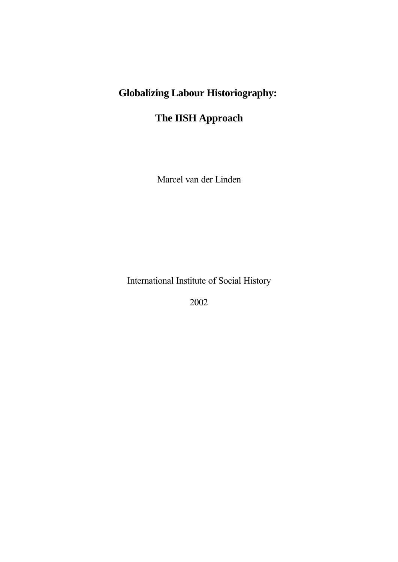# **Globalizing Labour Historiography:**

## **The IISH Approach**

Marcel van der Linden

International Institute of Social History

2002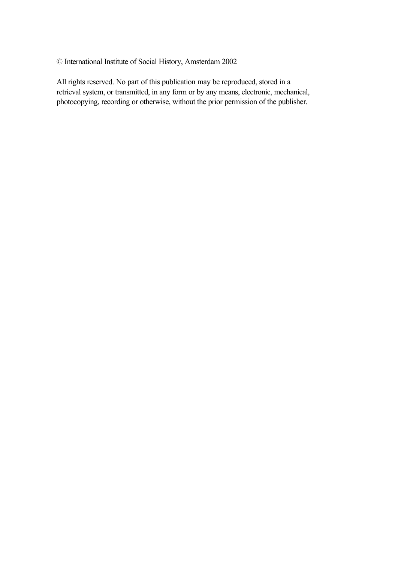© International Institute of Social History, Amsterdam 2002

All rights reserved. No part of this publication may be reproduced, stored in a retrieval system, or transmitted, in any form or by any means, electronic, mechanical, photocopying, recording or otherwise, without the prior permission of the publisher.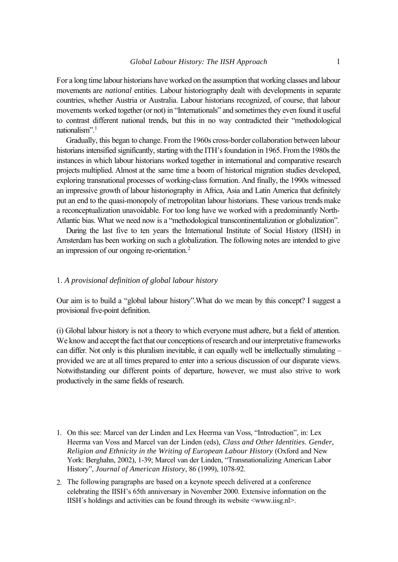For a long time labour historians have worked on the assumption that working classes and labour movements are *national* entities. Labour historiography dealt with developments in separate countries, whether Austria or Australia. Labour historians recognized, of course, that labour movements worked together (or not) in "Internationals" and sometimes they even found it useful to contrast different national trends, but this in no way contradicted their "methodological nationalism".<sup>1</sup>

Gradually, this began to change. From the 1960s cross-border collaboration between labour historians intensified significantly, starting with the ITH's foundation in 1965. From the 1980s the instances in which labour historians worked together in international and comparative research projects multiplied. Almost at the same time a boom of historical migration studies developed, exploring transnational processes of working-class formation. And finally, the 1990s witnessed an impressive growth of labour historiography in Africa, Asia and Latin America that definitely put an end to the quasi-monopoly of metropolitan labour historians. These various trends make a reconceptualization unavoidable. For too long have we worked with a predominantly North-Atlantic bias. What we need now is a "methodological transcontinentalization or globalization".

During the last five to ten years the International Institute of Social History (IISH) in Amsterdam has been working on such a globalization. The following notes are intended to give an impression of our ongoing re-orientation.<sup>2</sup>

### 1. *A provisional definition of global labour history*

Our aim is to build a "global labour history".What do we mean by this concept? I suggest a provisional five-point definition.

(i) Global labour history is not a theory to which everyone must adhere, but a field of attention. We know and accept the fact that our conceptions of research and our interpretative frameworks can differ. Not only is this pluralism inevitable, it can equally well be intellectually stimulating – provided we are at all times prepared to enter into a serious discussion of our disparate views. Notwithstanding our different points of departure, however, we must also strive to work productively in the same fields of research.

- 1. On this see: Marcel van der Linden and Lex Heerma van Voss, "Introduction", in: Lex Heerma van Voss and Marcel van der Linden (eds), *Class and Other Identities. Gender, Religion and Ethnicity in the Writing of European Labour History* (Oxford and New York: Berghahn, 2002), 1-39; Marcel van der Linden, "Transnationalizing American Labor History", *Journal of American History*, 86 (1999), 1078-92.
- 2. The following paragraphs are based on a keynote speech delivered at a conference celebrating the IISH's 65th anniversary in November 2000. Extensive information on the IISH's holdings and activities can be found through its website  $\langle$ www.iisg.nl>.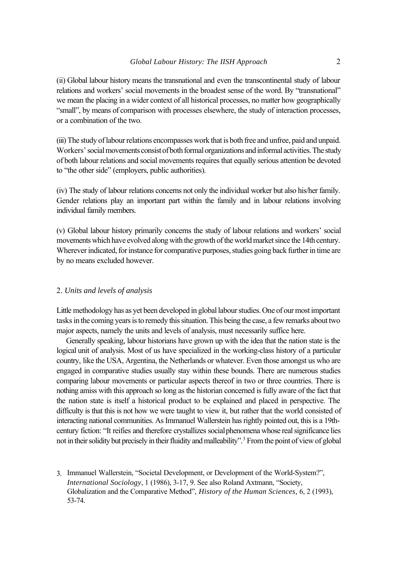(ii) Global labour history means the transnational and even the transcontinental study of labour relations and workers' social movements in the broadest sense of the word. By "transnational" we mean the placing in a wider context of all historical processes, no matter how geographically "small", by means of comparison with processes elsewhere, the study of interaction processes, or a combination of the two.

(iii) The study of labour relations encompasses work that is both free and unfree, paid and unpaid. Workers' social movements consist of both formal organizations and informal activities. The study of both labour relations and social movements requires that equally serious attention be devoted to "the other side" (employers, public authorities).

(iv) The study of labour relations concerns not only the individual worker but also his/her family. Gender relations play an important part within the family and in labour relations involving individual family members.

(v) Global labour history primarily concerns the study of labour relations and workers' social movements which have evolved along with the growth of the world market since the 14th century. Wherever indicated, for instance for comparative purposes, studies going back further in time are by no means excluded however.

## 2. *Units and levels of analysis*

Little methodology has as yet been developed in global labour studies. One of our most important tasks in the coming years is to remedy this situation. This being the case, a few remarks about two major aspects, namely the units and levels of analysis, must necessarily suffice here.

Generally speaking, labour historians have grown up with the idea that the nation state is the logical unit of analysis. Most of us have specialized in the working-class history of a particular country, like the USA, Argentina, the Netherlands or whatever. Even those amongst us who are engaged in comparative studies usually stay within these bounds. There are numerous studies comparing labour movements or particular aspects thereof in two or three countries. There is nothing amiss with this approach so long as the historian concerned is fully aware of the fact that the nation state is itself a historical product to be explained and placed in perspective. The difficulty is that this is not how we were taught to view it, but rather that the world consisted of interacting national communities. As Immanuel Wallerstein has rightly pointed out, this is a 19thcentury fiction: "It reifies and therefore crystallizes social phenomena whose real significance lies not in their solidity but precisely in their fluidity and malleability".<sup>3</sup> From the point of view of global

3. Immanuel Wallerstein, "Societal Development, or Development of the World-System?", *International Sociology*, 1 (1986), 3-17, 9. See also Roland Axtmann, "Society, Globalization and the Comparative Method", *History of the Human Sciences,* 6, 2 (1993), 53-74.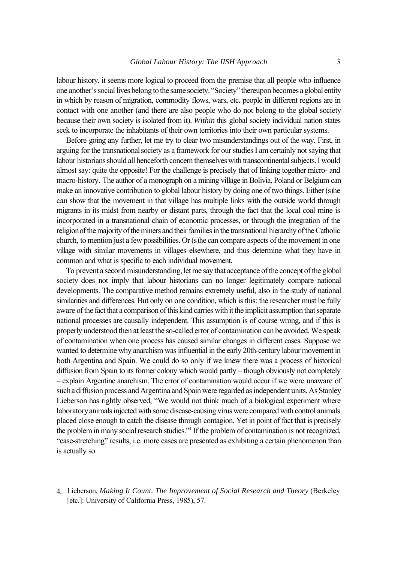labour history, it seems more logical to proceed from the premise that all people who influence one another's social lives belong to the same society. "Society" thereupon becomes a global entity in which by reason of migration, commodity flows, wars, etc. people in different regions are in contact with one another (and there are also people who do not belong to the global society because their own society is isolated from it). *Within* this global society individual nation states seek to incorporate the inhabitants of their own territories into their own particular systems.

Before going any further, let me try to clear two misunderstandings out of the way. First, in arguing for the transnational society as a framework for our studies I am certainly not saying that labour historians should all henceforth concern themselves with transcontinental subjects. I would almost say: quite the opposite! For the challenge is precisely that of linking together micro- and macro-history. The author of a monograph on a mining village in Bolivia, Poland or Belgium can make an innovative contribution to global labour history by doing one of two things. Either (s)he can show that the movement in that village has multiple links with the outside world through migrants in its midst from nearby or distant parts, through the fact that the local coal mine is incorporated in a transnational chain of economic processes, or through the integration of the religion of the majority of the miners and their families in the transnational hierarchy of the Catholic church, to mention just a few possibilities. Or (s)he can compare aspects of the movement in one village with similar movements in villages elsewhere, and thus determine what they have in common and what is specific to each individual movement.

To prevent a second misunderstanding, let me say that acceptance of the concept of the global society does not imply that labour historians can no longer legitimately compare national developments. The comparative method remains extremely useful, also in the study of national similarities and differences. But only on one condition, which is this: the researcher must be fully aware of the fact that a comparison of this kind carries with it the implicit assumption that separate national processes are causally independent. This assumption is of course wrong, and if this is properly understood then at least the so-called error of contamination can be avoided. We speak of contamination when one process has caused similar changes in different cases. Suppose we wanted to determine why anarchism was influential in the early 20th-century labour movement in both Argentina and Spain. We could do so only if we knew there was a process of historical diffusion from Spain to its former colony which would partly – though obviously not completely – explain Argentine anarchism. The error of contamination would occur if we were unaware of such a diffusion process and Argentina and Spain were regarded as independent units. As Stanley Lieberson has rightly observed, "We would not think much of a biological experiment where laboratory animals injected with some disease-causing virus were compared with control animals placed close enough to catch the disease through contagion. Yet in point of fact that is precisely the problem in many social research studies."<sup>4</sup> If the problem of contamination is not recognized, "case-stretching" results, i.e. more cases are presented as exhibiting a certain phenomenon than is actually so.

<sup>4.</sup> Lieberson, *Making It Count. The Improvement of Social Research and Theory* (Berkeley [etc.]: University of California Press, 1985), 57.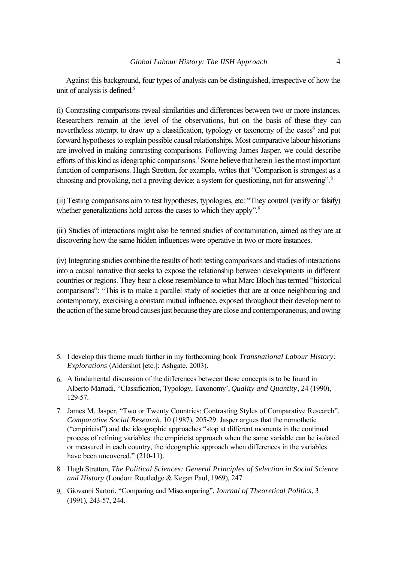Against this background, four types of analysis can be distinguished, irrespective of how the unit of analysis is defined. $5$ 

(i) Contrasting comparisons reveal similarities and differences between two or more instances. Researchers remain at the level of the observations, but on the basis of these they can nevertheless attempt to draw up a classification, typology or taxonomy of the cases<sup>6</sup> and put forward hypotheses to explain possible causal relationships. Most comparative labour historians are involved in making contrasting comparisons. Following James Jasper, we could describe efforts of this kind as ideographic comparisons.<sup>7</sup> Some believe that herein lies the most important function of comparisons. Hugh Stretton, for example, writes that "Comparison is strongest as a choosing and provoking, not a proving device: a system for questioning, not for answering".<sup>8</sup>

(ii) Testing comparisons aim to test hypotheses, typologies, etc: "They control (verify or falsify) whether generalizations hold across the cases to which they apply".<sup>9</sup>

(iii) Studies of interactions might also be termed studies of contamination, aimed as they are at discovering how the same hidden influences were operative in two or more instances.

(iv) Integrating studies combine the results of both testing comparisons and studies of interactions into a causal narrative that seeks to expose the relationship between developments in different countries or regions. They bear a close resemblance to what Marc Bloch has termed "historical comparisons": "This is to make a parallel study of societies that are at once neighbouring and contemporary, exercising a constant mutual influence, exposed throughout their development to the action of the same broad causes just because they are close and contemporaneous, and owing

- 5. I develop this theme much further in my forthcoming book *Transnational Labour History: Explorations* (Aldershot [etc.]: Ashgate, 2003).
- 6. A fundamental discussion of the differences between these concepts is to be found in Alberto Marradi, "Classification, Typology, Taxonomy', *Quality and Quantity*, 24 (1990), 129-57.
- 7. James M. Jasper, "Two or Twenty Countries: Contrasting Styles of Comparative Research", *Comparative Social Research*, 10 (1987), 205-29. Jasper argues that the nomothetic ("empiricist") and the ideographic approaches "stop at different moments in the continual process of refining variables: the empiricist approach when the same variable can be isolated or measured in each country, the ideographic approach when differences in the variables have been uncovered." (210-11).
- 8. Hugh Stretton, *The Political Sciences: General Principles of Selection in Social Science and History* (London: Routledge & Kegan Paul, 1969), 247.
- 9. Giovanni Sartori, "Comparing and Miscomparing", *Journal of Theoretical Politics*, 3 (1991), 243-57, 244.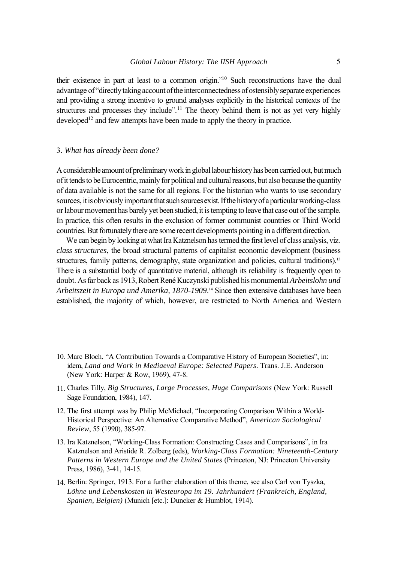their existence in part at least to a common origin."<sup>10</sup> Such reconstructions have the dual advantage of "directly taking account of the interconnectedness of ostensibly separate experiences and providing a strong incentive to ground analyses explicitly in the historical contexts of the structures and processes they include".<sup>11</sup> The theory behind them is not as yet very highly developed<sup>12</sup> and few attempts have been made to apply the theory in practice.

#### 3. *What has already been done?*

A considerable amount of preliminary work in global labour history has been carried out, but much of it tends to be Eurocentric, mainly for political and cultural reasons, but also because the quantity of data available is not the same for all regions. For the historian who wants to use secondary sources, it is obviously important that such sources exist. If the history of a particular working-class or labour movement has barely yet been studied, it is tempting to leave that case out of the sample. In practice, this often results in the exclusion of former communist countries or Third World countries. But fortunately there are some recent developments pointing in a different direction.

We can begin by looking at what Ira Katznelson has termed the first level of class analysis, viz. *class structures*, the broad structural patterns of capitalist economic development (business structures, family patterns, demography, state organization and policies, cultural traditions).<sup>13</sup> There is a substantial body of quantitative material, although its reliability is frequently open to doubt. As far back as 1913, Robert René Kuczynski published his monumental *Arbeitslohn und Arbeitszeit in Europa und Amerika, 1870-1909*. <sup>14</sup> Since then extensive databases have been established, the majority of which, however, are restricted to North America and Western

- 10. Marc Bloch, "A Contribution Towards a Comparative History of European Societies", in: idem, *Land and Work in Mediaeval Europe: Selected Papers*. Trans. J.E. Anderson (New York: Harper & Row, 1969), 47-8.
- 11. Charles Tilly, *Big Structures, Large Processes, Huge Comparisons* (New York: Russell Sage Foundation, 1984), 147.
- 12. The first attempt was by Philip McMichael, "Incorporating Comparison Within a World-Historical Perspective: An Alternative Comparative Method", *American Sociological Review*, 55 (1990), 385-97.
- 13. Ira Katznelson, "Working-Class Formation: Constructing Cases and Comparisons", in Ira Katznelson and Aristide R. Zolberg (eds), *Working-Class Formation: Nineteenth-Century Patterns in Western Europe and the United States* (Princeton, NJ: Princeton University Press, 1986), 3-41, 14-15.
- 14. Berlin: Springer, 1913. For a further elaboration of this theme, see also Carl von Tyszka, *Löhne und Lebenskosten in Westeuropa im 19. Jahrhundert (Frankreich, England, Spanien, Belgien)* (Munich [etc.]: Duncker & Humblot, 1914).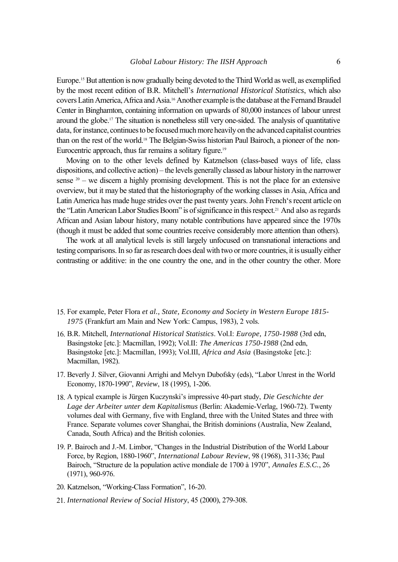Europe.15 But attention is now gradually being devoted to the Third World as well, as exemplified by the most recent edition of B.R. Mitchell's *International Historical Statistics*, which also covers Latin America, Africa and Asia.16 Another example is the database at the Fernand Braudel Center in Binghamton, containing information on upwards of 80,000 instances of labour unrest around the globe.17 The situation is nonetheless still very one-sided. The analysis of quantitative data, for instance, continues to be focused much more heavily on the advanced capitalist countries than on the rest of the world.18 The Belgian-Swiss historian Paul Bairoch, a pioneer of the non-Eurocentric approach, thus far remains a solitary figure.<sup>19</sup>

Moving on to the other levels defined by Katznelson (class-based ways of life, class dispositions, and collective action) – the levels generally classed as labour history in the narrower sense  $20 -$  we discern a highly promising development. This is not the place for an extensive overview, but it may be stated that the historiography of the working classes in Asia, Africa and Latin America has made huge strides over the past twenty years. John French's recent article on the "Latin American Labor Studies Boom" is of significance in this respect.21 And also as regards African and Asian labour history, many notable contributions have appeared since the 1970s (though it must be added that some countries receive considerably more attention than others).

The work at all analytical levels is still largely unfocused on transnational interactions and testing comparisons. In so far as research does deal with two or more countries, it is usually either contrasting or additive: in the one country the one, and in the other country the other. More

- 15. For example, Peter Flora *et al., State, Economy and Society in Western Europe 1815- 1975* (Frankfurt am Main and New York: Campus, 1983), 2 vols.
- 16. B.R. Mitchell, *International Historical Statistics*. Vol.I: *Europe, 1750-1988* (3rd edn, Basingstoke [etc.]: Macmillan, 1992); Vol.II: *The Americas 1750-1988* (2nd edn, Basingstoke [etc.]: Macmillan, 1993); Vol.III, *Africa and Asia* (Basingstoke [etc.]: Macmillan, 1982).
- 17. Beverly J. Silver, Giovanni Arrighi and Melvyn Dubofsky (eds), "Labor Unrest in the World Economy, 1870-1990", *Review*, 18 (1995), 1-206.
- 18. A typical example is Jürgen Kuczynski's impressive 40-part study, *Die Geschichte der Lage der Arbeiter unter dem Kapitalismus* (Berlin: Akademie-Verlag, 1960-72). Twenty volumes deal with Germany, five with England, three with the United States and three with France. Separate volumes cover Shanghai, the British dominions (Australia, New Zealand, Canada, South Africa) and the British colonies.
- 19. P. Bairoch and J.-M. Limbor, "Changes in the Industrial Distribution of the World Labour Force, by Region, 1880-1960", *International Labour Review*, 98 (1968), 311-336; Paul Bairoch, "Structure de la population active mondiale de 1700 à 1970", *Annales E.S.C.*, 26 (1971), 960-976.
- 20. Katznelson, "Working-Class Formation", 16-20.
- 21. *International Review of Social History*, 45 (2000), 279-308.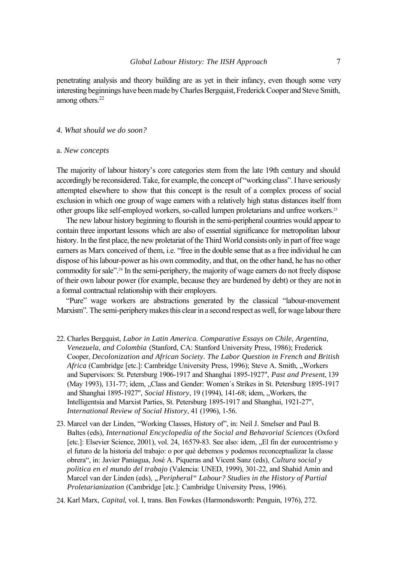penetrating analysis and theory building are as yet in their infancy, even though some very interesting beginnings have been made by Charles Bergquist, Frederick Cooper and Steve Smith, among others.<sup>22</sup>

#### *4. What should we do soon?*

#### a. *New concepts*

The majority of labour history's core categories stem from the late 19th century and should accordingly be reconsidered. Take, for example, the concept of "working class". I have seriously attempted elsewhere to show that this concept is the result of a complex process of social exclusion in which one group of wage earners with a relatively high status distances itself from other groups like self-employed workers, so-called lumpen proletarians and unfree workers.<sup>23</sup>

The new labour history beginning to flourish in the semi-peripheral countries would appear to contain three important lessons which are also of essential significance for metropolitan labour history. In the first place, the new proletariat of the Third World consists only in part of free wage earners as Marx conceived of them, i.e. "free in the double sense that as a free individual he can dispose of his labour-power as his own commodity, and that, on the other hand, he has no other commodity for sale".24 In the semi-periphery, the majority of wage earners do not freely dispose of their own labour power (for example, because they are burdened by debt) or they are not in a formal contractual relationship with their employers.

"Pure" wage workers are abstractions generated by the classical "labour-movement Marxism". The semi-periphery makes this clear in a second respect as well, for wage labour there

- 22. Charles Bergquist, *Labor in Latin America. Comparative Essays on Chile, Argentina, Venezuela, and Colombia* (Stanford, CA: Stanford University Press, 1986); Frederick Cooper, *Decolonization and African Society. The Labor Question in French and British Africa* (Cambridge [etc.]: Cambridge University Press, 1996); Steve A. Smith, "Workers and Supervisors: St. Petersburg 1906-1917 and Shanghai 1895-1927", *Past and Present*, 139 (May 1993), 131-77; idem, "Class and Gender: Women's Strikes in St. Petersburg 1895-1917 and Shanghai 1895-1927", *Social History*, 19 (1994), 141-68; idem, "Workers, the Intelligentsia and Marxist Parties, St. Petersburg 1895-1917 and Shanghai, 1921-27", *International Review of Social History*, 41 (1996), 1-56.
- 23. Marcel van der Linden, "Working Classes, History of", in: Neil J. Smelser and Paul B. Baltes (eds), *International Encyclopedia of the Social and Behavorial Sciences* (Oxford [etc.]: Elsevier Science, 2001), vol. 24, 16579-83. See also: idem, "El fin der eurocentrismo y el futuro de la historia del trabajo: o por qué debemos y podemos reconceptualizar la classe obrera", in: Javier Paniagua, José A. Piqueras and Vicent Sanz (eds), *Cultura social y politica en el mundo del trabajo* (Valencia: UNED, 1999), 301-22, and Shahid Amin and Marcel van der Linden (eds), "Peripheral" Labour? Studies in the History of Partial *Proletarianization* (Cambridge [etc.]: Cambridge University Press, 1996).
- 24. Karl Marx, *Capital*, vol. I, trans. Ben Fowkes (Harmondsworth: Penguin, 1976), 272.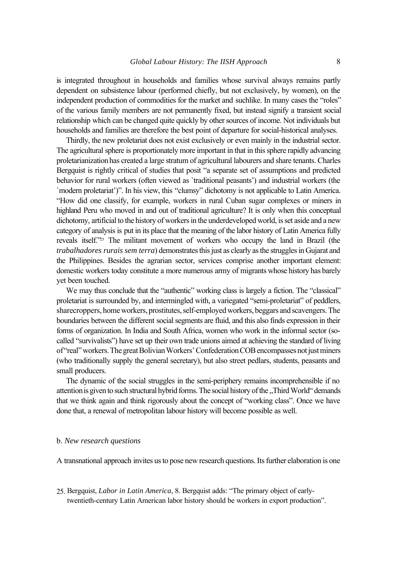is integrated throughout in households and families whose survival always remains partly dependent on subsistence labour (performed chiefly, but not exclusively, by women), on the independent production of commodities for the market and suchlike. In many cases the "roles" of the various family members are not permanently fixed, but instead signify a transient social relationship which can be changed quite quickly by other sources of income. Not individuals but households and families are therefore the best point of departure for social-historical analyses.

Thirdly, the new proletariat does not exist exclusively or even mainly in the industrial sector. The agricultural sphere is proportionately more important in that in this sphere rapidly advancing proletarianization has created a large stratum of agricultural labourers and share tenants. Charles Bergquist is rightly critical of studies that posit "a separate set of assumptions and predicted behavior for rural workers (often viewed as `traditional peasants') and industrial workers (the `modern proletariat')". In his view, this "clumsy" dichotomy is not applicable to Latin America. "How did one classify, for example, workers in rural Cuban sugar complexes or miners in highland Peru who moved in and out of traditional agriculture? It is only when this conceptual dichotomy, artificial to the history of workers in the underdeveloped world, is set aside and a new category of analysis is put in its place that the meaning of the labor history of Latin America fully reveals itself."25 The militant movement of workers who occupy the land in Brazil (the *trabalhadores rurais sem terra*) demonstrates this just as clearly as the struggles in Gujarat and the Philippines. Besides the agrarian sector, services comprise another important element: domestic workers today constitute a more numerous army of migrants whose history has barely yet been touched.

We may thus conclude that the "authentic" working class is largely a fiction. The "classical" proletariat is surrounded by, and intermingled with, a variegated "semi-proletariat" of peddlers, sharecroppers, home workers, prostitutes, self-employed workers, beggars and scavengers. The boundaries between the different social segments are fluid, and this also finds expression in their forms of organization. In India and South Africa, women who work in the informal sector (socalled "survivalists") have set up their own trade unions aimed at achieving the standard of living of "real" workers. The great Bolivian Workers' Confederation COB encompasses not just miners (who traditionally supply the general secretary), but also street pedlars, students, peasants and small producers.

The dynamic of the social struggles in the semi-periphery remains incomprehensible if no attention is given to such structural hybrid forms. The social history of the "Third World" demands that we think again and think rigorously about the concept of "working class". Once we have done that, a renewal of metropolitan labour history will become possible as well.

#### b. *New research questions*

A transnational approach invites us to pose new research questions. Its further elaboration is one

25. Bergquist, *Labor in Latin America*, 8. Bergquist adds: "The primary object of earlytwentieth-century Latin American labor history should be workers in export production".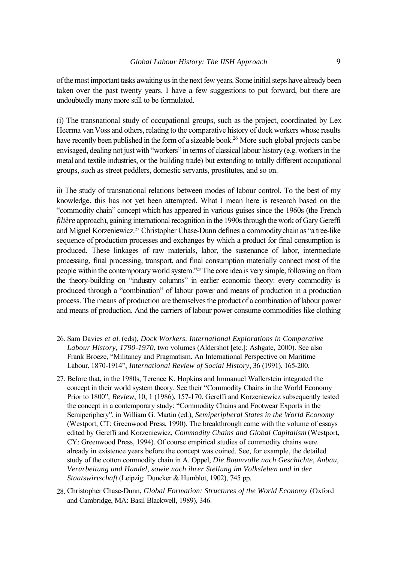of the most important tasks awaiting us in the next few years. Some initial steps have already been taken over the past twenty years. I have a few suggestions to put forward, but there are undoubtedly many more still to be formulated.

(i) The transnational study of occupational groups, such as the project, coordinated by Lex Heerma van Voss and others, relating to the comparative history of dock workers whose results have recently been published in the form of a sizeable book.<sup>26</sup> More such global projects can be envisaged, dealing not just with "workers" in terms of classical labour history (e.g. workers in the metal and textile industries, or the building trade) but extending to totally different occupational groups, such as street peddlers, domestic servants, prostitutes, and so on.

ii) The study of transnational relations between modes of labour control. To the best of my knowledge, this has not yet been attempted. What I mean here is research based on the "commodity chain" concept which has appeared in various guises since the 1960s (the French *filière* approach), gaining international recognition in the 1990s through the work of Gary Gereffi and Miguel Korzeniewicz.27 Christopher Chase-Dunn defines a commodity chain as "a tree-like sequence of production processes and exchanges by which a product for final consumption is produced. These linkages of raw materials, labor, the sustenance of labor, intermediate processing, final processing, transport, and final consumption materially connect most of the people within the contemporary world system."28 The core idea is very simple, following on from the theory-building on "industry columns" in earlier economic theory: every commodity is produced through a "combination" of labour power and means of production in a production process. The means of production are themselves the product of a combination of labour power and means of production. And the carriers of labour power consume commodities like clothing

- 26. Sam Davies *et al*. (eds), *Dock Workers. International Explorations in Comparative Labour History, 1790-1970*, two volumes (Aldershot [etc.]: Ashgate, 2000). See also Frank Broeze, "Militancy and Pragmatism. An International Perspective on Maritime Labour, 1870-1914", *International Review of Social History*, 36 (1991), 165-200.
- 27. Before that, in the 1980s, Terence K. Hopkins and Immanuel Wallerstein integrated the concept in their world system theory. See their "Commodity Chains in the World Economy Prior to 1800", *Review*, 10, 1 (1986), 157-170. Gereffi and Korzeniewicz subsequently tested the concept in a contemporary study: "Commodity Chains and Footwear Exports in the Semiperiphery", in William G. Martin (ed.), *Semiperipheral States in the World Economy* (Westport, CT: Greenwood Press, 1990). The breakthrough came with the volume of essays edited by Gereffi and Korzeniewicz, *Commodity Chains and Global Capitalism* (Westport, CY: Greenwood Press, 1994). Of course empirical studies of commodity chains were already in existence years before the concept was coined. See, for example, the detailed study of the cotton commodity chain in A. Oppel, *Die Baumvolle nach Geschichte, Anbau, Verarbeitung und Handel, sowie nach ihrer Stellung im Volksleben und in der Staatswirtschaft* (Leipzig: Duncker & Humblot, 1902), 745 pp.
- 28. Christopher Chase-Dunn, *Global Formation: Structures of the World Economy* (Oxford and Cambridge, MA: Basil Blackwell, 1989), 346.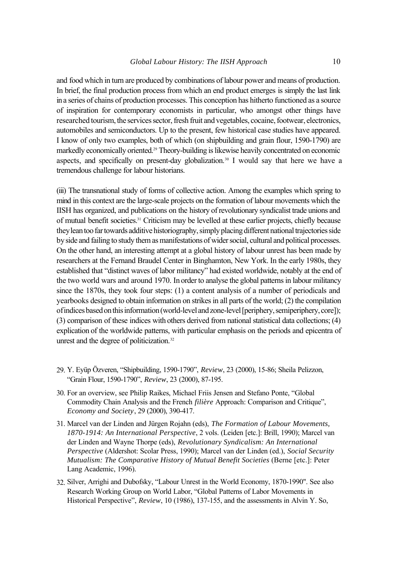and food which in turn are produced by combinations of labour power and means of production. In brief, the final production process from which an end product emerges is simply the last link in a series of chains of production processes. This conception has hitherto functioned as a source of inspiration for contemporary economists in particular, who amongst other things have researched tourism, the services sector, fresh fruit and vegetables, cocaine, footwear, electronics, automobiles and semiconductors. Up to the present, few historical case studies have appeared. I know of only two examples, both of which (on shipbuilding and grain flour, 1590-1790) are markedly economically oriented.29 Theory-building is likewise heavily concentrated on economic aspects, and specifically on present-day globalization.<sup>30</sup> I would say that here we have a tremendous challenge for labour historians.

(iii) The transnational study of forms of collective action. Among the examples which spring to mind in this context are the large-scale projects on the formation of labour movements which the IISH has organized, and publications on the history of revolutionary syndicalist trade unions and of mutual benefit societies.31 Criticism may be levelled at these earlier projects, chiefly because they lean too far towards additive historiography, simply placing different national trajectories side by side and failing to study them as manifestations of wider social, cultural and political processes. On the other hand, an interesting attempt at a global history of labour unrest has been made by researchers at the Fernand Braudel Center in Binghamton, New York. In the early 1980s, they established that "distinct waves of labor militancy" had existed worldwide, notably at the end of the two world wars and around 1970. In order to analyse the global patterns in labour militancy since the 1870s, they took four steps: (1) a content analysis of a number of periodicals and yearbooks designed to obtain information on strikes in all parts of the world; (2) the compilation of indices based on this information (world-level and zone-level [periphery, semiperiphery, core]); (3) comparison of these indices with others derived from national statistical data collections; (4) explication of the worldwide patterns, with particular emphasis on the periods and epicentra of unrest and the degree of politicization.<sup>32</sup>

- 29. Y. Eyüp Özveren, "Shipbuilding, 1590-1790", *Review*, 23 (2000), 15-86; Sheila Pelizzon, "Grain Flour, 1590-1790", *Review*, 23 (2000), 87-195.
- 30. For an overview, see Philip Raikes, Michael Friis Jensen and Stefano Ponte, "Global Commodity Chain Analysis and the French *filière* Approach: Comparison and Critique", *Economy and Society*, 29 (2000), 390-417.
- 31. Marcel van der Linden and Jürgen Rojahn (eds), *The Formation of Labour Movements, 1870-1914: An International Perspective*, 2 vols. (Leiden [etc.]: Brill, 1990); Marcel van der Linden and Wayne Thorpe (eds), *Revolutionary Syndicalism: An International Perspective* (Aldershot: Scolar Press, 1990); Marcel van der Linden (ed.), *Social Security Mutualism: The Comparative History of Mutual Benefit Societies* (Berne [etc.]: Peter Lang Academic, 1996).
- 32. Silver, Arrighi and Dubofsky, "Labour Unrest in the World Economy, 1870-1990". See also Research Working Group on World Labor, "Global Patterns of Labor Movements in Historical Perspective", *Review*, 10 (1986), 137-155, and the assessments in Alvin Y. So,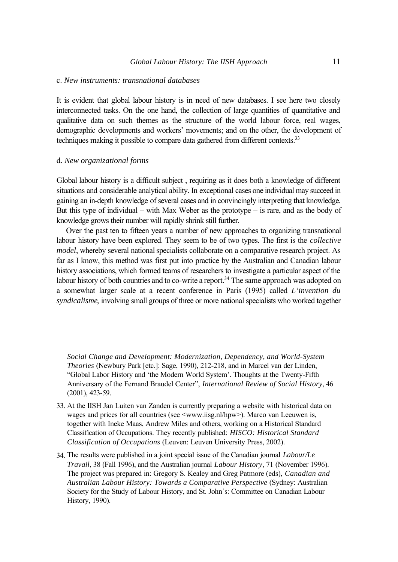#### c. *New instruments: transnational databases*

It is evident that global labour history is in need of new databases. I see here two closely interconnected tasks. On the one hand, the collection of large quantities of quantitative and qualitative data on such themes as the structure of the world labour force, real wages, demographic developments and workers' movements; and on the other, the development of techniques making it possible to compare data gathered from different contexts.<sup>33</sup>

### d. *New organizational forms*

Global labour history is a difficult subject , requiring as it does both a knowledge of different situations and considerable analytical ability. In exceptional cases one individual may succeed in gaining an in-depth knowledge of several cases and in convincingly interpreting that knowledge. But this type of individual – with Max Weber as the prototype – is rare, and as the body of knowledge grows their number will rapidly shrink still further.

Over the past ten to fifteen years a number of new approaches to organizing transnational labour history have been explored. They seem to be of two types. The first is the *collective model*, whereby several national specialists collaborate on a comparative research project. As far as I know, this method was first put into practice by the Australian and Canadian labour history associations, which formed teams of researchers to investigate a particular aspect of the labour history of both countries and to co-write a report.<sup>34</sup> The same approach was adopted on a somewhat larger scale at a recent conference in Paris (1995) called *L'invention du syndicalisme*, involving small groups of three or more national specialists who worked together

*Social Change and Development: Modernization, Dependency, and World-System Theories* (Newbury Park [etc.]: Sage, 1990), 212-218, and in Marcel van der Linden, "Global Labor History and 'the Modern World System'. Thoughts at the Twenty-Fifth Anniversary of the Fernand Braudel Center", *International Review of Social History*, 46 (2001), 423-59.

- 33. At the IISH Jan Luiten van Zanden is currently preparing a website with historical data on wages and prices for all countries (see  $\langle$ www.iisg.nl/hpw>). Marco van Leeuwen is, together with Ineke Maas, Andrew Miles and others, working on a Historical Standard Classification of Occupations. They recently published: *HISCO: Historical Standard Classification of Occupations* (Leuven: Leuven University Press, 2002).
- 34. The results were published in a joint special issue of the Canadian journal *Labour/Le Travail*, 38 (Fall 1996), and the Australian journal *Labour History*, 71 (November 1996). The project was prepared in: Gregory S. Kealey and Greg Patmore (eds), *Canadian and Australian Labour History: Towards a Comparative Perspective* (Sydney: Australian Society for the Study of Labour History, and St. John´s: Committee on Canadian Labour History, 1990).